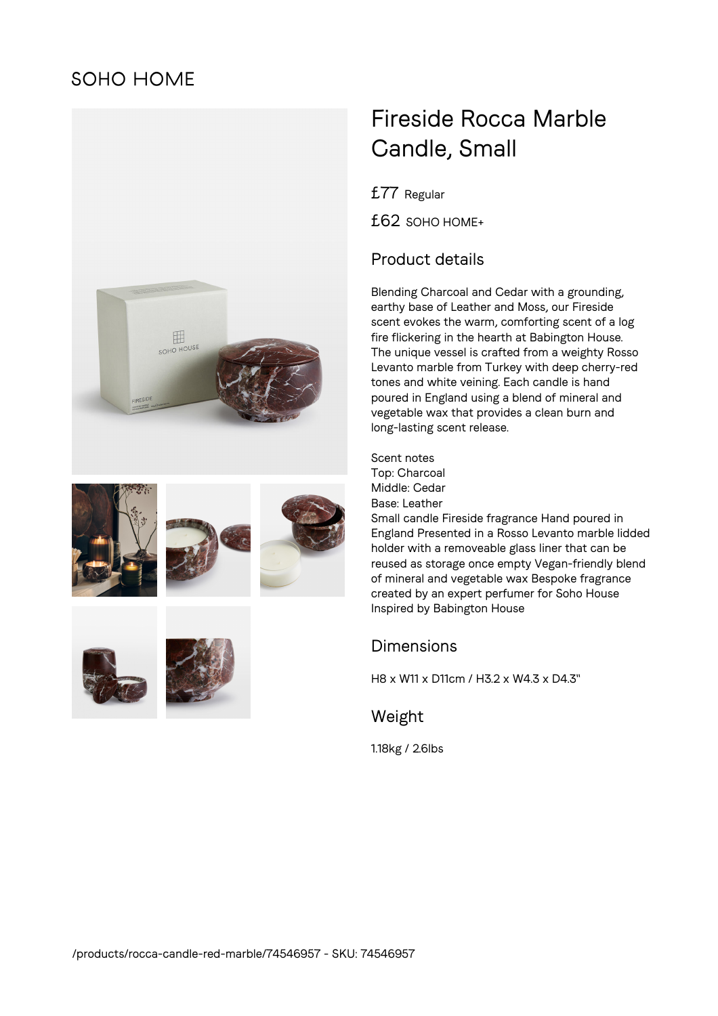# **SOHO HOME**













# Fireside Rocca Marble Candle, Small

£77 Regular

£62 SOHO HOME+

## Product details

Blending Charcoal and Cedar with a grounding, earthy base of Leather and Moss, our Fireside scent evokes the warm, comforting scent of a log fire flickering in the hearth at Babington House. The unique vessel is crafted from a weighty Rosso Levanto marble from Turkey with deep cherry-red tones and white veining. Each candle is hand poured in England using a blend of mineral and vegetable wax that provides a clean burn and long-lasting scent release.

Scent notes Top: Charcoal Middle: Cedar Base: Leather Small candle Fireside fragrance Hand poured in England Presented in a Rosso Levanto marble lidded holder with a removeable glass liner that can be reused as storage once empty Vegan-friendly blend of mineral and vegetable wax Bespoke fragrance created by an expert perfumer for Soho House Inspired by Babington House

### Dimensions

H8 x W11 x D11cm / H3.2 x W4.3 x D4.3"

#### Weight

1.18kg / 2.6lbs